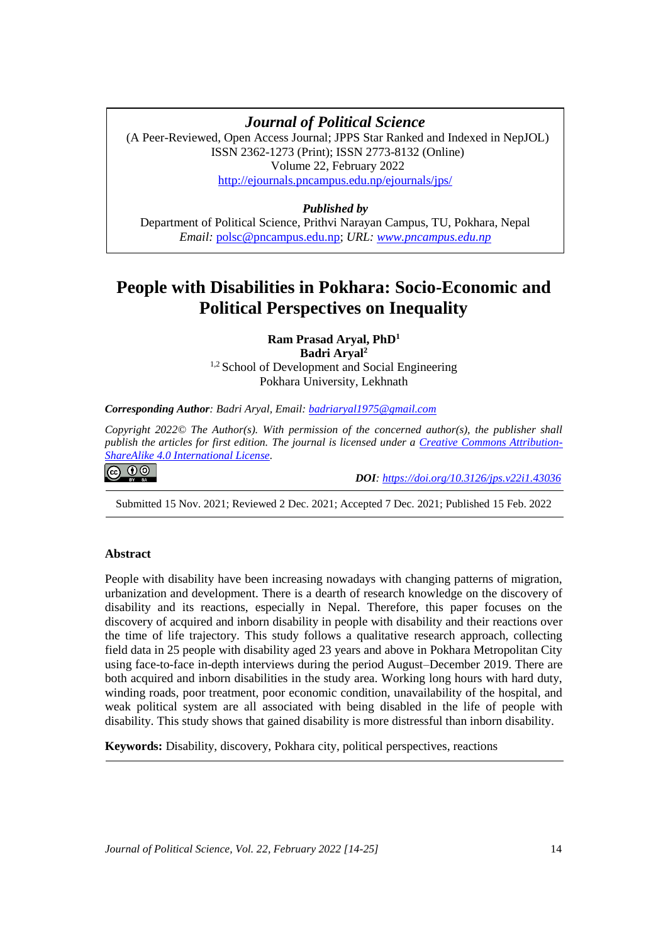# **Journal of Political Science**

(A Peer-Reviewed, Open Access Journal; JPPS Star Ranked and Indexed in NepJOL) ISSN 2362-1273 (Print); ISSN 2773-8132 (Online) Volume 22, February 2022 <http://ejournals.pncampus.edu.np/ejournals/jps/>

# *Published by*

Department of Political Science, Prithvi Narayan Campus, TU, Pokhara, Nepal *Email:* [polsc@pncampus.edu.np;](mailto:polsc@pncampus.edu.np) *URL: [www.pncampus.edu.np](http://www.pncampus.edu.np/)*

# **People with Disabilities in Pokhara: Socio-Economic and Political Perspectives on Inequality**

**Ram Prasad Aryal, PhD<sup>1</sup> Badri Aryal<sup>2</sup>** <sup>1,2</sup> School of Development and Social Engineering Pokhara University, Lekhnath

## *Corresponding Author: Badri Aryal, Email: [badriaryal1975@gmail.com](mailto:badriaryal1975@gmail.com)*

*Copyright 2022© The Author(s). With permission of the concerned author(s), the publisher shall publish the articles for first edition. The journal is licensed under a [Creative Commons Attribution-](https://creativecommons.org/licenses/by-sa/4.0/)[ShareAlike 4.0 International License.](https://creativecommons.org/licenses/by-sa/4.0/)*

 *DOI: <https://doi.org/10.3126/jps.v22i1.43036>*

Submitted 15 Nov. 2021; Reviewed 2 Dec. 2021; Accepted 7 Dec. 2021; Published 15 Feb. 2022

# **Abstract**

**@** 00

People with disability have been increasing nowadays with changing patterns of migration, urbanization and development. There is a dearth of research knowledge on the discovery of disability and its reactions, especially in Nepal. Therefore, this paper focuses on the discovery of acquired and inborn disability in people with disability and their reactions over the time of life trajectory. This study follows a qualitative research approach, collecting field data in 25 people with disability aged 23 years and above in Pokhara Metropolitan City using face-to-face in-depth interviews during the period August–December 2019. There are both acquired and inborn disabilities in the study area. Working long hours with hard duty, winding roads, poor treatment, poor economic condition, unavailability of the hospital, and weak political system are all associated with being disabled in the life of people with disability. This study shows that gained disability is more distressful than inborn disability.

**Keywords:** Disability, discovery, Pokhara city, political perspectives, reactions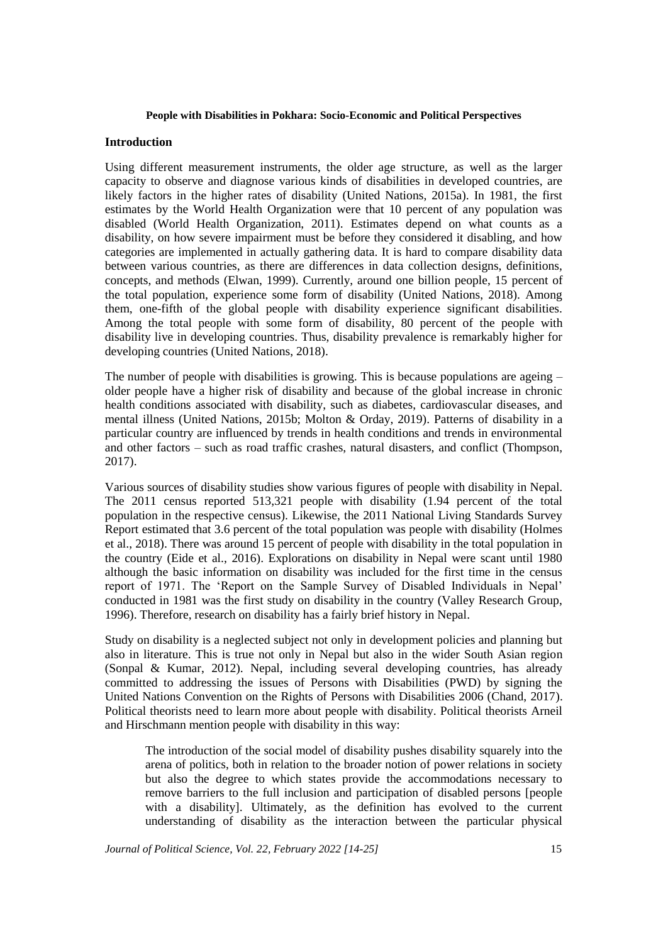## **Introduction**

Using different measurement instruments, the older age structure, as well as the larger capacity to observe and diagnose various kinds of disabilities in developed countries, are likely factors in the higher rates of disability (United Nations, 2015a). In 1981, the first estimates by the World Health Organization were that 10 percent of any population was disabled (World Health Organization, 2011). Estimates depend on what counts as a disability, on how severe impairment must be before they considered it disabling, and how categories are implemented in actually gathering data. It is hard to compare disability data between various countries, as there are differences in data collection designs, definitions, concepts, and methods (Elwan, 1999). Currently, around one billion people, 15 percent of the total population, experience some form of disability (United Nations, 2018). Among them, one-fifth of the global people with disability experience significant disabilities. Among the total people with some form of disability, 80 percent of the people with disability live in developing countries. Thus, disability prevalence is remarkably higher for developing countries (United Nations, 2018).

The number of people with disabilities is growing. This is because populations are ageing – older people have a higher risk of disability and because of the global increase in chronic health conditions associated with disability, such as diabetes, cardiovascular diseases, and mental illness (United Nations, 2015b; Molton & Orday, 2019). Patterns of disability in a particular country are influenced by trends in health conditions and trends in environmental and other factors – such as road traffic crashes, natural disasters, and conflict (Thompson, 2017).

Various sources of disability studies show various figures of people with disability in Nepal. The 2011 census reported 513,321 people with disability (1.94 percent of the total population in the respective census). Likewise, the 2011 National Living Standards Survey Report estimated that 3.6 percent of the total population was people with disability (Holmes et al., 2018). There was around 15 percent of people with disability in the total population in the country (Eide et al., 2016). Explorations on disability in Nepal were scant until 1980 although the basic information on disability was included for the first time in the census report of 1971. The 'Report on the Sample Survey of Disabled Individuals in Nepal' conducted in 1981 was the first study on disability in the country (Valley Research Group, 1996). Therefore, research on disability has a fairly brief history in Nepal.

Study on disability is a neglected subject not only in development policies and planning but also in literature. This is true not only in Nepal but also in the wider South Asian region (Sonpal & Kumar, 2012). Nepal, including several developing countries, has already committed to addressing the issues of Persons with Disabilities (PWD) by signing the United Nations Convention on the Rights of Persons with Disabilities 2006 (Chand, 2017). Political theorists need to learn more about people with disability. Political theorists Arneil and Hirschmann mention people with disability in this way:

The introduction of the social model of disability pushes disability squarely into the arena of politics, both in relation to the broader notion of power relations in society but also the degree to which states provide the accommodations necessary to remove barriers to the full inclusion and participation of disabled persons [people with a disability]. Ultimately, as the definition has evolved to the current understanding of disability as the interaction between the particular physical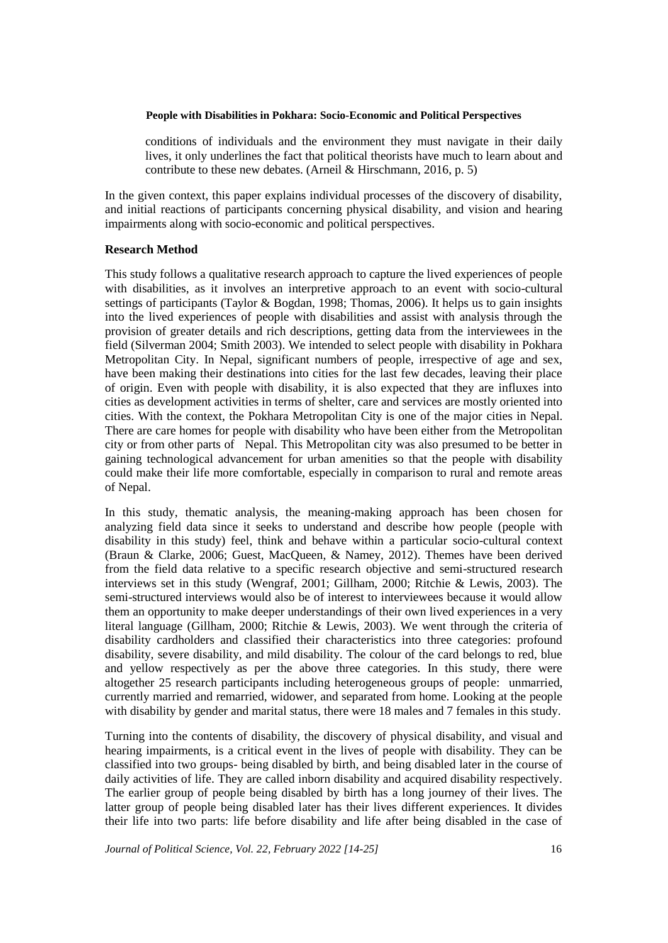conditions of individuals and the environment they must navigate in their daily lives, it only underlines the fact that political theorists have much to learn about and contribute to these new debates. (Arneil & Hirschmann, 2016, p. 5)

In the given context, this paper explains individual processes of the discovery of disability, and initial reactions of participants concerning physical disability, and vision and hearing impairments along with socio-economic and political perspectives.

## **Research Method**

This study follows a qualitative research approach to capture the lived experiences of people with disabilities, as it involves an interpretive approach to an event with socio-cultural settings of participants (Taylor & Bogdan, 1998; Thomas, 2006). It helps us to gain insights into the lived experiences of people with disabilities and assist with analysis through the provision of greater details and rich descriptions, getting data from the interviewees in the field (Silverman 2004; Smith 2003). We intended to select people with disability in Pokhara Metropolitan City. In Nepal, significant numbers of people, irrespective of age and sex, have been making their destinations into cities for the last few decades, leaving their place of origin. Even with people with disability, it is also expected that they are influxes into cities as development activities in terms of shelter, care and services are mostly oriented into cities. With the context, the Pokhara Metropolitan City is one of the major cities in Nepal. There are care homes for people with disability who have been either from the Metropolitan city or from other parts of Nepal. This Metropolitan city was also presumed to be better in gaining technological advancement for urban amenities so that the people with disability could make their life more comfortable, especially in comparison to rural and remote areas of Nepal.

In this study, thematic analysis, the meaning-making approach has been chosen for analyzing field data since it seeks to understand and describe how people (people with disability in this study) feel, think and behave within a particular socio-cultural context (Braun & Clarke, 2006; Guest, MacQueen, & Namey, 2012). Themes have been derived from the field data relative to a specific research objective and semi-structured research interviews set in this study (Wengraf, 2001; Gillham, 2000; Ritchie & Lewis, 2003). The semi-structured interviews would also be of interest to interviewees because it would allow them an opportunity to make deeper understandings of their own lived experiences in a very literal language (Gillham, 2000; Ritchie & Lewis, 2003). We went through the criteria of disability cardholders and classified their characteristics into three categories: profound disability, severe disability, and mild disability. The colour of the card belongs to red, blue and yellow respectively as per the above three categories. In this study, there were altogether 25 research participants including heterogeneous groups of people: unmarried, currently married and remarried, widower, and separated from home. Looking at the people with disability by gender and marital status, there were 18 males and 7 females in this study.

Turning into the contents of disability, the discovery of physical disability, and visual and hearing impairments, is a critical event in the lives of people with disability. They can be classified into two groups- being disabled by birth, and being disabled later in the course of daily activities of life. They are called inborn disability and acquired disability respectively. The earlier group of people being disabled by birth has a long journey of their lives. The latter group of people being disabled later has their lives different experiences. It divides their life into two parts: life before disability and life after being disabled in the case of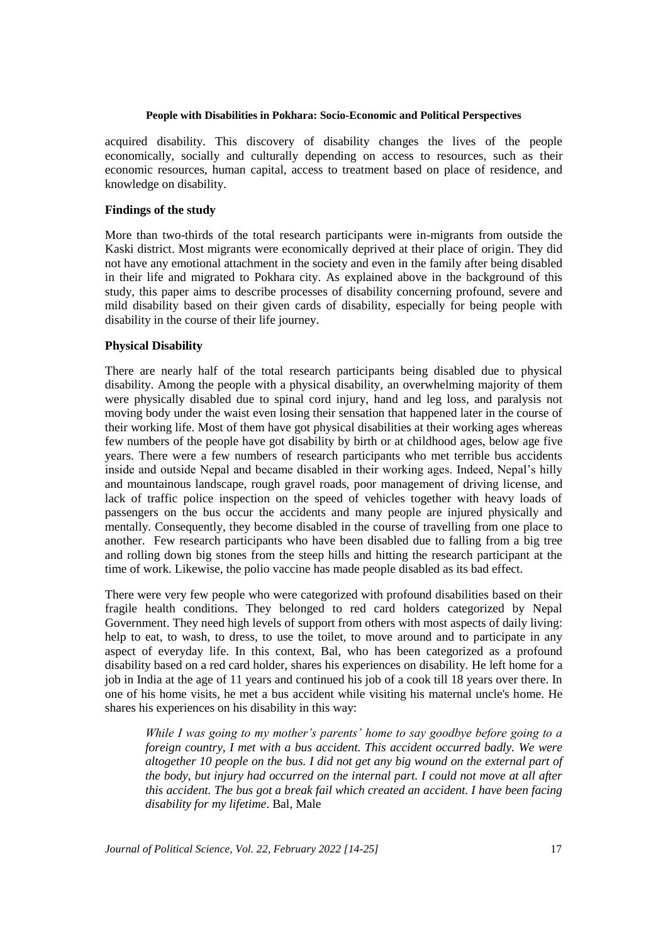acquired disability. This discovery of disability changes the lives of the people economically, socially and culturally depending on access to resources, such as their economic resources, human capital, access to treatment based on place of residence, and knowledge on disability.

## **Findings of the study**

More than two-thirds of the total research participants were in-migrants from outside the Kaski district. Most migrants were economically deprived at their place of origin. They did not have any emotional attachment in the society and even in the family after being disabled in their life and migrated to Pokhara city. As explained above in the background of this study, this paper aims to describe processes of disability concerning profound, severe and mild disability based on their given cards of disability, especially for being people with disability in the course of their life journey.

## **Physical Disability**

There are nearly half of the total research participants being disabled due to physical disability. Among the people with a physical disability, an overwhelming majority of them were physically disabled due to spinal cord injury, hand and leg loss, and paralysis not moving body under the waist even losing their sensation that happened later in the course of their working life. Most of them have got physical disabilities at their working ages whereas few numbers of the people have got disability by birth or at childhood ages, below age five years. There were a few numbers of research participants who met terrible bus accidents inside and outside Nepal and became disabled in their working ages. Indeed, Nepal's hilly and mountainous landscape, rough gravel roads, poor management of driving license, and lack of traffic police inspection on the speed of vehicles together with heavy loads of passengers on the bus occur the accidents and many people are injured physically and mentally. Consequently, they become disabled in the course of travelling from one place to another. Few research participants who have been disabled due to falling from a big tree and rolling down big stones from the steep hills and hitting the research participant at the time of work. Likewise, the polio vaccine has made people disabled as its bad effect.

There were very few people who were categorized with profound disabilities based on their fragile health conditions. They belonged to red card holders categorized by Nepal Government. They need high levels of support from others with most aspects of daily living: help to eat, to wash, to dress, to use the toilet, to move around and to participate in any aspect of everyday life. In this context, Bal, who has been categorized as a profound disability based on a red card holder, shares his experiences on disability. He left home for a job in India at the age of 11 years and continued his job of a cook till 18 years over there. In one of his home visits, he met a bus accident while visiting his maternal uncle's home. He shares his experiences on his disability in this way:

*While I was going to my mother's parents' home to say goodbye before going to a foreign country, I met with a bus accident. This accident occurred badly. We were altogether 10 people on the bus. I did not get any big wound on the external part of the body, but injury had occurred on the internal part. I could not move at all after this accident. The bus got a break fail which created an accident. I have been facing disability for my lifetime*. Bal, Male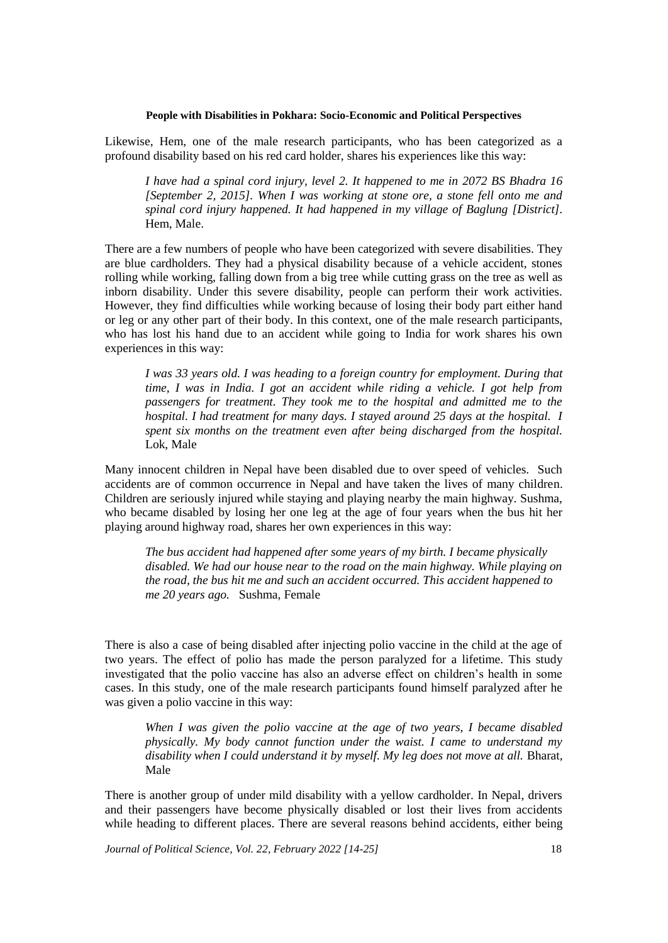Likewise, Hem, one of the male research participants, who has been categorized as a profound disability based on his red card holder, shares his experiences like this way:

*I have had a spinal cord injury, level 2. It happened to me in 2072 BS Bhadra 16 [September 2, 2015]. When I was working at stone ore, a stone fell onto me and spinal cord injury happened. It had happened in my village of Baglung [District].*  Hem, Male.

There are a few numbers of people who have been categorized with severe disabilities. They are blue cardholders. They had a physical disability because of a vehicle accident, stones rolling while working, falling down from a big tree while cutting grass on the tree as well as inborn disability. Under this severe disability, people can perform their work activities. However, they find difficulties while working because of losing their body part either hand or leg or any other part of their body. In this context, one of the male research participants, who has lost his hand due to an accident while going to India for work shares his own experiences in this way:

*I was 33 years old. I was heading to a foreign country for employment. During that time, I was in India. I got an accident while riding a vehicle. I got help from passengers for treatment. They took me to the hospital and admitted me to the hospital. I had treatment for many days. I stayed around 25 days at the hospital. I spent six months on the treatment even after being discharged from the hospital.* Lok, Male

Many innocent children in Nepal have been disabled due to over speed of vehicles. Such accidents are of common occurrence in Nepal and have taken the lives of many children. Children are seriously injured while staying and playing nearby the main highway. Sushma, who became disabled by losing her one leg at the age of four years when the bus hit her playing around highway road, shares her own experiences in this way:

*The bus accident had happened after some years of my birth. I became physically disabled. We had our house near to the road on the main highway. While playing on the road, the bus hit me and such an accident occurred. This accident happened to me 20 years ago.* Sushma, Female

There is also a case of being disabled after injecting polio vaccine in the child at the age of two years. The effect of polio has made the person paralyzed for a lifetime. This study investigated that the polio vaccine has also an adverse effect on children's health in some cases. In this study, one of the male research participants found himself paralyzed after he was given a polio vaccine in this way:

*When I was given the polio vaccine at the age of two years, I became disabled physically. My body cannot function under the waist. I came to understand my*  disability when I could understand it by myself. My leg does not move at all. Bharat, Male

There is another group of under mild disability with a yellow cardholder. In Nepal, drivers and their passengers have become physically disabled or lost their lives from accidents while heading to different places. There are several reasons behind accidents, either being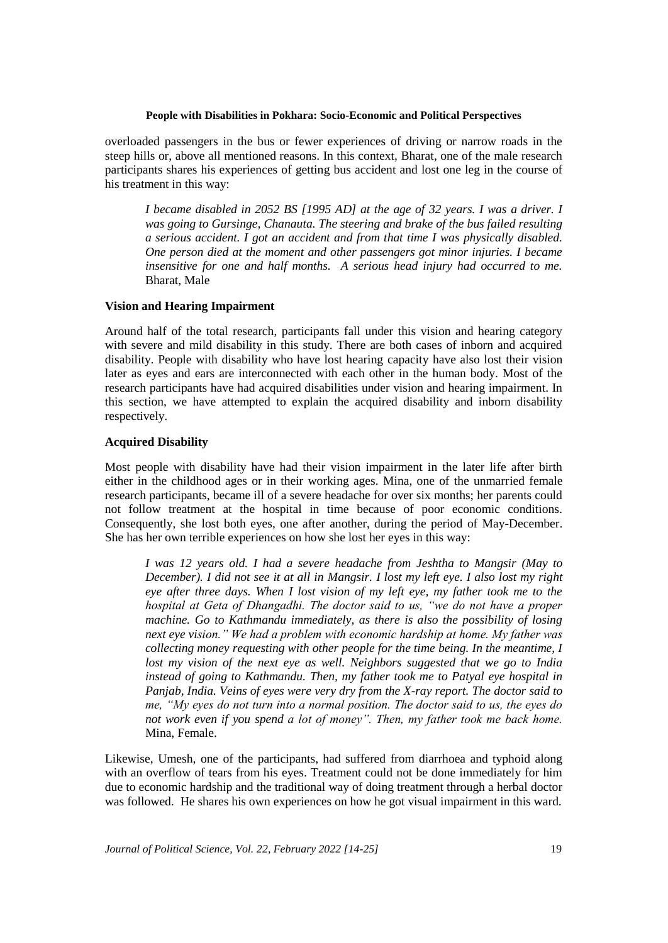overloaded passengers in the bus or fewer experiences of driving or narrow roads in the steep hills or, above all mentioned reasons. In this context, Bharat, one of the male research participants shares his experiences of getting bus accident and lost one leg in the course of his treatment in this way:

*I became disabled in 2052 BS [1995 AD] at the age of 32 years. I was a driver. I was going to Gursinge, Chanauta. The steering and brake of the bus failed resulting a serious accident. I got an accident and from that time I was physically disabled. One person died at the moment and other passengers got minor injuries. I became insensitive for one and half months. A serious head injury had occurred to me.*  Bharat, Male

# **Vision and Hearing Impairment**

Around half of the total research, participants fall under this vision and hearing category with severe and mild disability in this study. There are both cases of inborn and acquired disability. People with disability who have lost hearing capacity have also lost their vision later as eyes and ears are interconnected with each other in the human body. Most of the research participants have had acquired disabilities under vision and hearing impairment. In this section, we have attempted to explain the acquired disability and inborn disability respectively.

## **Acquired Disability**

Most people with disability have had their vision impairment in the later life after birth either in the childhood ages or in their working ages. Mina, one of the unmarried female research participants, became ill of a severe headache for over six months; her parents could not follow treatment at the hospital in time because of poor economic conditions. Consequently, she lost both eyes, one after another, during the period of May-December. She has her own terrible experiences on how she lost her eyes in this way:

*I was 12 years old. I had a severe headache from Jeshtha to Mangsir (May to December). I did not see it at all in Mangsir. I lost my left eye. I also lost my right eye after three days. When I lost vision of my left eye, my father took me to the hospital at Geta of Dhangadhi. The doctor said to us, "we do not have a proper machine. Go to Kathmandu immediately, as there is also the possibility of losing next eye vision." We had a problem with economic hardship at home. My father was collecting money requesting with other people for the time being. In the meantime, I lost my vision of the next eye as well. Neighbors suggested that we go to India instead of going to Kathmandu. Then, my father took me to Patyal eye hospital in Panjab, India. Veins of eyes were very dry from the X-ray report. The doctor said to me, "My eyes do not turn into a normal position. The doctor said to us, the eyes do not work even if you spend a lot of money". Then, my father took me back home.*  Mina, Female.

Likewise, Umesh, one of the participants, had suffered from diarrhoea and typhoid along with an overflow of tears from his eyes. Treatment could not be done immediately for him due to economic hardship and the traditional way of doing treatment through a herbal doctor was followed. He shares his own experiences on how he got visual impairment in this ward.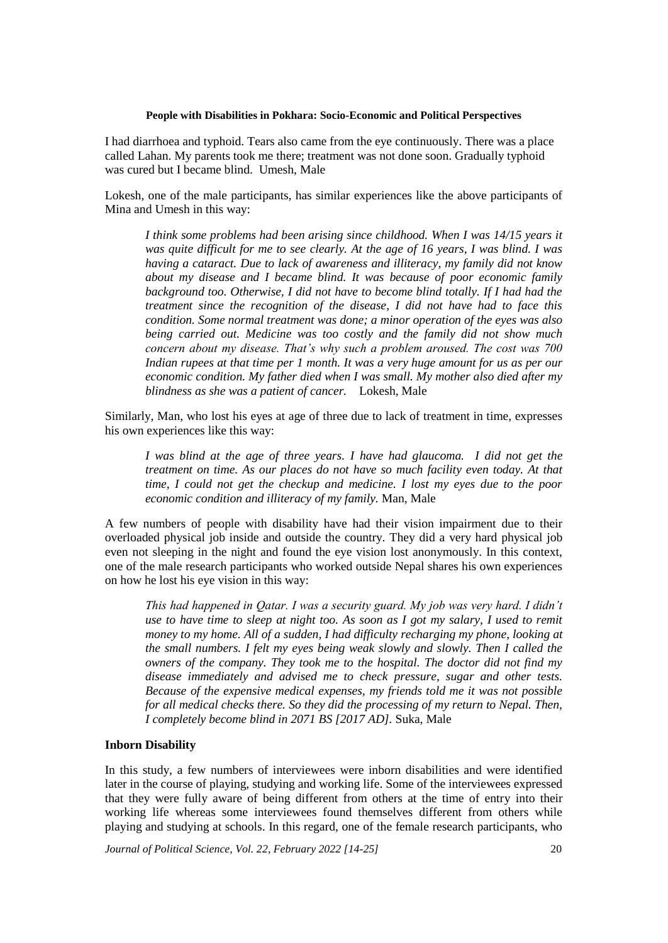I had diarrhoea and typhoid. Tears also came from the eye continuously. There was a place called Lahan. My parents took me there; treatment was not done soon. Gradually typhoid was cured but I became blind. Umesh, Male

Lokesh, one of the male participants, has similar experiences like the above participants of Mina and Umesh in this way:

*I think some problems had been arising since childhood. When I was 14/15 years it was quite difficult for me to see clearly. At the age of 16 years, I was blind. I was having a cataract. Due to lack of awareness and illiteracy, my family did not know about my disease and I became blind. It was because of poor economic family background too. Otherwise, I did not have to become blind totally. If I had had the treatment since the recognition of the disease, I did not have had to face this condition. Some normal treatment was done; a minor operation of the eyes was also being carried out. Medicine was too costly and the family did not show much concern about my disease. That's why such a problem aroused. The cost was 700 Indian rupees at that time per 1 month. It was a very huge amount for us as per our economic condition. My father died when I was small. My mother also died after my blindness as she was a patient of cancer.* Lokesh, Male

Similarly, Man, who lost his eyes at age of three due to lack of treatment in time, expresses his own experiences like this way:

*I* was blind at the age of three years. *I have had glaucoma. I did not get the treatment on time. As our places do not have so much facility even today. At that time, I could not get the checkup and medicine. I lost my eyes due to the poor economic condition and illiteracy of my family.* Man, Male

A few numbers of people with disability have had their vision impairment due to their overloaded physical job inside and outside the country. They did a very hard physical job even not sleeping in the night and found the eye vision lost anonymously. In this context, one of the male research participants who worked outside Nepal shares his own experiences on how he lost his eye vision in this way:

*This had happened in Qatar. I was a security guard. My job was very hard. I didn't use to have time to sleep at night too. As soon as I got my salary, I used to remit money to my home. All of a sudden, I had difficulty recharging my phone, looking at the small numbers. I felt my eyes being weak slowly and slowly. Then I called the owners of the company. They took me to the hospital. The doctor did not find my disease immediately and advised me to check pressure, sugar and other tests. Because of the expensive medical expenses, my friends told me it was not possible for all medical checks there. So they did the processing of my return to Nepal. Then, I completely become blind in 2071 BS [2017 AD].* Suka, Male

# **Inborn Disability**

In this study, a few numbers of interviewees were inborn disabilities and were identified later in the course of playing, studying and working life. Some of the interviewees expressed that they were fully aware of being different from others at the time of entry into their working life whereas some interviewees found themselves different from others while playing and studying at schools. In this regard, one of the female research participants, who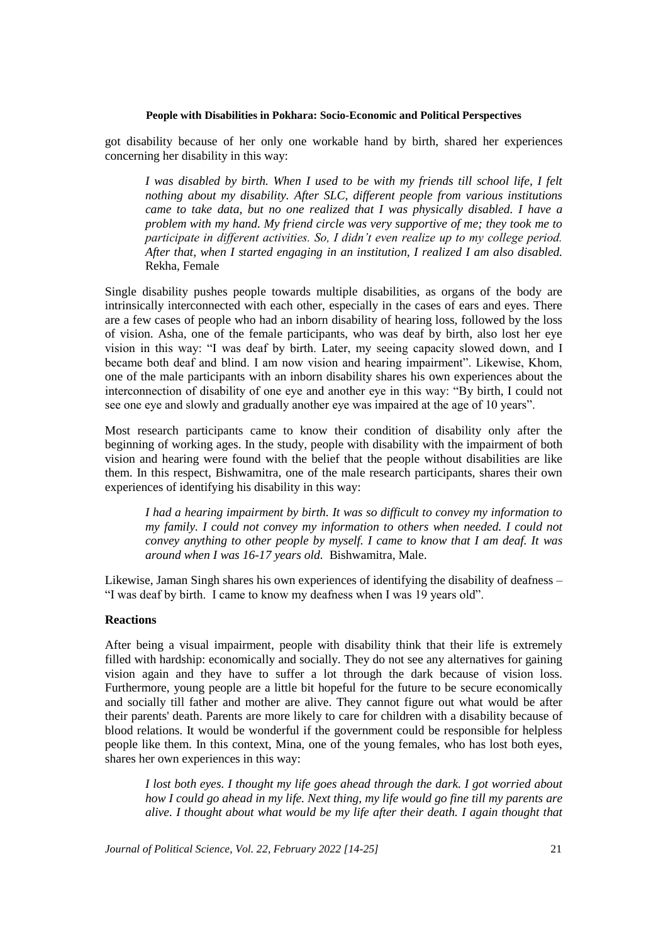got disability because of her only one workable hand by birth, shared her experiences concerning her disability in this way:

*I was disabled by birth. When I used to be with my friends till school life, I felt nothing about my disability. After SLC, different people from various institutions came to take data, but no one realized that I was physically disabled. I have a problem with my hand. My friend circle was very supportive of me; they took me to participate in different activities. So, I didn't even realize up to my college period. After that, when I started engaging in an institution, I realized I am also disabled.*  Rekha, Female

Single disability pushes people towards multiple disabilities, as organs of the body are intrinsically interconnected with each other, especially in the cases of ears and eyes. There are a few cases of people who had an inborn disability of hearing loss, followed by the loss of vision. Asha, one of the female participants, who was deaf by birth, also lost her eye vision in this way: "I was deaf by birth. Later, my seeing capacity slowed down, and I became both deaf and blind. I am now vision and hearing impairment". Likewise, Khom, one of the male participants with an inborn disability shares his own experiences about the interconnection of disability of one eye and another eye in this way: "By birth, I could not see one eye and slowly and gradually another eye was impaired at the age of 10 years".

Most research participants came to know their condition of disability only after the beginning of working ages. In the study, people with disability with the impairment of both vision and hearing were found with the belief that the people without disabilities are like them. In this respect, Bishwamitra, one of the male research participants, shares their own experiences of identifying his disability in this way:

*I had a hearing impairment by birth. It was so difficult to convey my information to my family. I could not convey my information to others when needed. I could not convey anything to other people by myself. I came to know that I am deaf. It was around when I was 16-17 years old.* Bishwamitra, Male.

Likewise, Jaman Singh shares his own experiences of identifying the disability of deafness – "I was deaf by birth. I came to know my deafness when I was 19 years old".

## **Reactions**

After being a visual impairment, people with disability think that their life is extremely filled with hardship: economically and socially. They do not see any alternatives for gaining vision again and they have to suffer a lot through the dark because of vision loss. Furthermore, young people are a little bit hopeful for the future to be secure economically and socially till father and mother are alive. They cannot figure out what would be after their parents' death. Parents are more likely to care for children with a disability because of blood relations. It would be wonderful if the government could be responsible for helpless people like them. In this context, Mina, one of the young females, who has lost both eyes, shares her own experiences in this way:

*I lost both eyes. I thought my life goes ahead through the dark. I got worried about how I could go ahead in my life. Next thing, my life would go fine till my parents are alive. I thought about what would be my life after their death. I again thought that*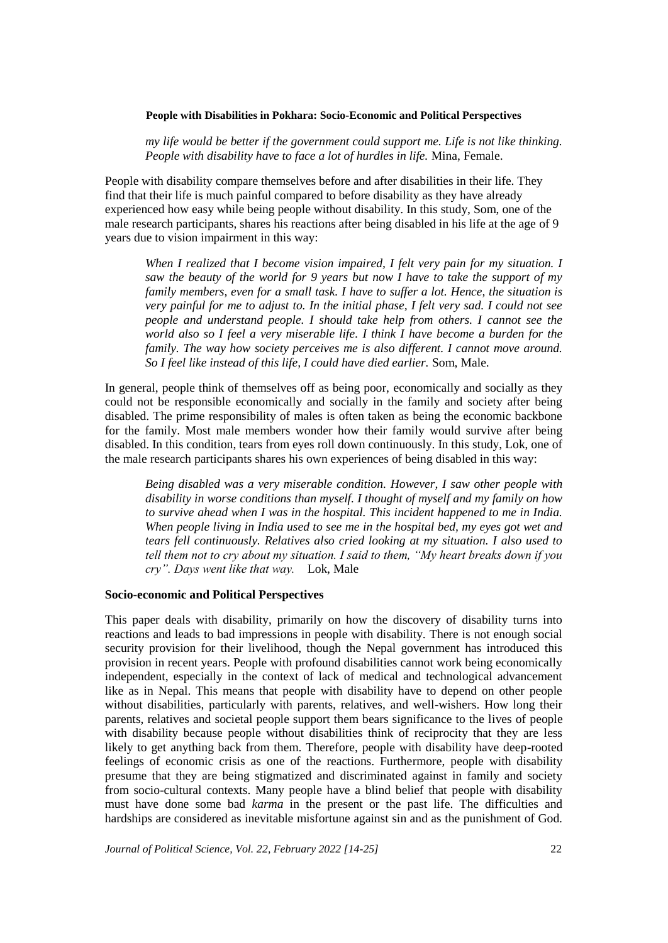*my life would be better if the government could support me. Life is not like thinking. People with disability have to face a lot of hurdles in life.* Mina, Female.

People with disability compare themselves before and after disabilities in their life. They find that their life is much painful compared to before disability as they have already experienced how easy while being people without disability. In this study, Som, one of the male research participants, shares his reactions after being disabled in his life at the age of 9 years due to vision impairment in this way:

*When I realized that I become vision impaired, I felt very pain for my situation. I saw the beauty of the world for 9 years but now I have to take the support of my family members, even for a small task. I have to suffer a lot. Hence, the situation is very painful for me to adjust to. In the initial phase, I felt very sad. I could not see people and understand people. I should take help from others. I cannot see the world also so I feel a very miserable life. I think I have become a burden for the family. The way how society perceives me is also different. I cannot move around. So I feel like instead of this life, I could have died earlier.* Som, Male.

In general, people think of themselves off as being poor, economically and socially as they could not be responsible economically and socially in the family and society after being disabled. The prime responsibility of males is often taken as being the economic backbone for the family. Most male members wonder how their family would survive after being disabled. In this condition, tears from eyes roll down continuously. In this study, Lok, one of the male research participants shares his own experiences of being disabled in this way:

*Being disabled was a very miserable condition. However, I saw other people with disability in worse conditions than myself. I thought of myself and my family on how to survive ahead when I was in the hospital. This incident happened to me in India. When people living in India used to see me in the hospital bed, my eyes got wet and tears fell continuously. Relatives also cried looking at my situation. I also used to tell them not to cry about my situation. I said to them, "My heart breaks down if you cry". Days went like that way.* Lok, Male

# **Socio-economic and Political Perspectives**

This paper deals with disability, primarily on how the discovery of disability turns into reactions and leads to bad impressions in people with disability. There is not enough social security provision for their livelihood, though the Nepal government has introduced this provision in recent years. People with profound disabilities cannot work being economically independent, especially in the context of lack of medical and technological advancement like as in Nepal. This means that people with disability have to depend on other people without disabilities, particularly with parents, relatives, and well-wishers. How long their parents, relatives and societal people support them bears significance to the lives of people with disability because people without disabilities think of reciprocity that they are less likely to get anything back from them. Therefore, people with disability have deep-rooted feelings of economic crisis as one of the reactions. Furthermore, people with disability presume that they are being stigmatized and discriminated against in family and society from socio-cultural contexts. Many people have a blind belief that people with disability must have done some bad *karma* in the present or the past life. The difficulties and hardships are considered as inevitable misfortune against sin and as the punishment of God.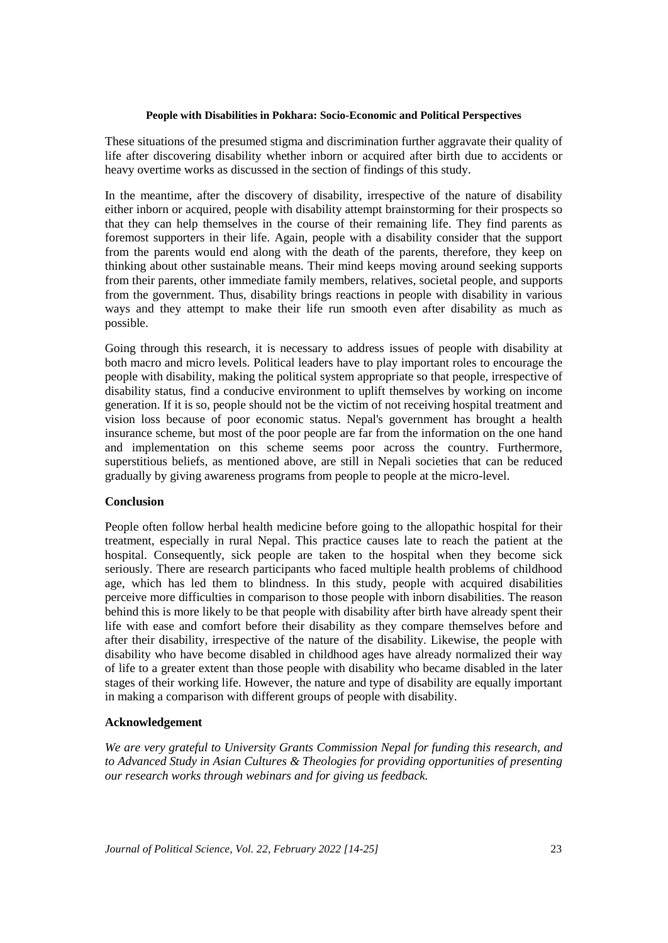These situations of the presumed stigma and discrimination further aggravate their quality of life after discovering disability whether inborn or acquired after birth due to accidents or heavy overtime works as discussed in the section of findings of this study.

In the meantime, after the discovery of disability, irrespective of the nature of disability either inborn or acquired, people with disability attempt brainstorming for their prospects so that they can help themselves in the course of their remaining life. They find parents as foremost supporters in their life. Again, people with a disability consider that the support from the parents would end along with the death of the parents, therefore, they keep on thinking about other sustainable means. Their mind keeps moving around seeking supports from their parents, other immediate family members, relatives, societal people, and supports from the government. Thus, disability brings reactions in people with disability in various ways and they attempt to make their life run smooth even after disability as much as possible.

Going through this research, it is necessary to address issues of people with disability at both macro and micro levels. Political leaders have to play important roles to encourage the people with disability, making the political system appropriate so that people, irrespective of disability status, find a conducive environment to uplift themselves by working on income generation. If it is so, people should not be the victim of not receiving hospital treatment and vision loss because of poor economic status. Nepal's government has brought a health insurance scheme, but most of the poor people are far from the information on the one hand and implementation on this scheme seems poor across the country. Furthermore, superstitious beliefs, as mentioned above, are still in Nepali societies that can be reduced gradually by giving awareness programs from people to people at the micro-level.

# **Conclusion**

People often follow herbal health medicine before going to the allopathic hospital for their treatment, especially in rural Nepal. This practice causes late to reach the patient at the hospital. Consequently, sick people are taken to the hospital when they become sick seriously. There are research participants who faced multiple health problems of childhood age, which has led them to blindness. In this study, people with acquired disabilities perceive more difficulties in comparison to those people with inborn disabilities. The reason behind this is more likely to be that people with disability after birth have already spent their life with ease and comfort before their disability as they compare themselves before and after their disability, irrespective of the nature of the disability. Likewise, the people with disability who have become disabled in childhood ages have already normalized their way of life to a greater extent than those people with disability who became disabled in the later stages of their working life. However, the nature and type of disability are equally important in making a comparison with different groups of people with disability.

# **Acknowledgement**

*We are very grateful to University Grants Commission Nepal for funding this research, and to Advanced Study in Asian Cultures & Theologies for providing opportunities of presenting our research works through webinars and for giving us feedback.*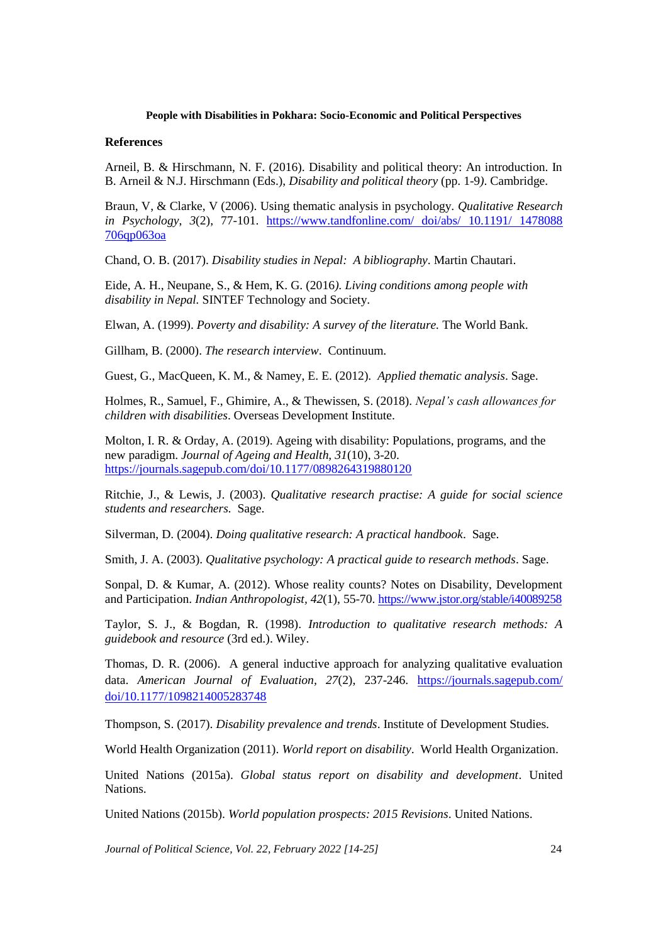## **References**

Arneil, B. & Hirschmann, N. F. (2016). Disability and political theory: An introduction. In B. Arneil & N.J. Hirschmann (Eds.), *Disability and political theory* (pp. 1-9*)*. Cambridge.

Braun, V, & Clarke, V (2006). Using thematic analysis in psychology. *Qualitative Research in Psychology*, *3*(2), 77-101. [https://www.tandfonline.com/ doi/abs/ 10.1191/ 1478088](https://www.tandfonline.com/%20doi/abs/%2010.1191/%201478088%20706qp063oa)  [706qp063oa](https://www.tandfonline.com/%20doi/abs/%2010.1191/%201478088%20706qp063oa) 

Chand, O. B. (2017). *Disability studies in Nepal: A bibliography*. Martin Chautari.

Eide, A. H., Neupane, S., & Hem, K. G. (2016*). Living conditions among people with disability in Nepal.* SINTEF Technology and Society.

Elwan, A. (1999). *Poverty and disability: A survey of the literature.* The World Bank.

Gillham, B. (2000). *The research interview*. Continuum.

Guest, G., MacQueen, K. M., & Namey, E. E. (2012). *Applied thematic analysis*. Sage.

Holmes, R., Samuel, F., Ghimire, A., & Thewissen, S. (2018). *Nepal's cash allowances for children with disabilities*. Overseas Development Institute.

Molton, I. R. & Orday, A. (2019). Ageing with disability: Populations, programs, and the new paradigm. *Journal of Ageing and Health, 31*(10), 3-20. <https://journals.sagepub.com/doi/10.1177/0898264319880120>

Ritchie, J., & Lewis, J. (2003). *Qualitative research practise: A guide for social science students and researchers.* Sage.

Silverman, D. (2004). *Doing qualitative research: A practical handbook*. Sage.

Smith, J. A. (2003). *Qualitative psychology: A practical guide to research methods*. Sage.

Sonpal, D. & Kumar, A. (2012). Whose reality counts? Notes on Disability, Development and Participation. *Indian Anthropologist, 42*(1), 55-70.<https://www.jstor.org/stable/i40089258>

Taylor, S. J., & Bogdan, R. (1998). *Introduction to qualitative research methods: A guidebook and resource* (3rd ed.). Wiley.

Thomas, D. R. (2006). A general inductive approach for analyzing qualitative evaluation data. *American Journal of Evaluation, 27*(2), 237-246. [https://journals.sagepub.com/](https://journals.sagepub.com/%20doi/10.1177/1098214005283748)  [doi/10.1177/1098214005283748](https://journals.sagepub.com/%20doi/10.1177/1098214005283748)

Thompson, S. (2017). *Disability prevalence and trends*. Institute of Development Studies.

World Health Organization (2011). *World report on disability*. World Health Organization.

United Nations (2015a). *Global status report on disability and development*. United Nations.

United Nations (2015b). *World population prospects: 2015 Revisions*. United Nations.